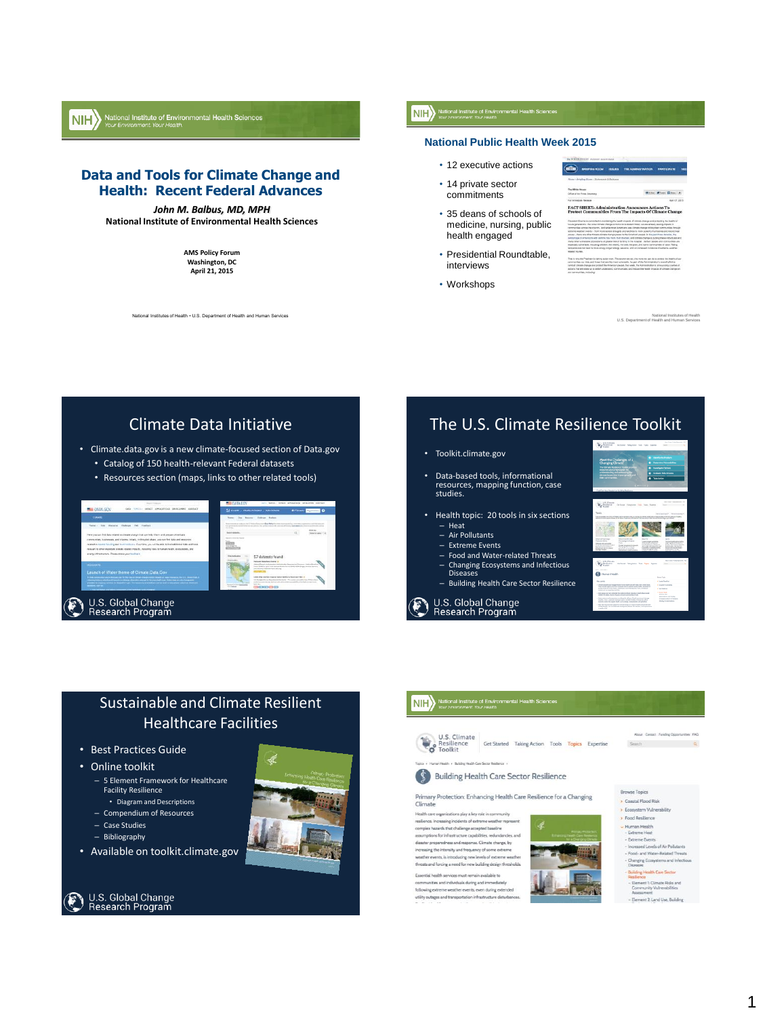

## **Data and Tools for Climate Change and Health: Recent Federal Advances**

#### *John M. Balbus, MD, MPH*

**National Institute of Environmental Health Sciences**

**AMS Policy Forum Washington, DC April 21, 2015**

onal Institutes of Health • U.S. Department of Health and Human Services

## **NIH** National Institute of Environmental Health Sciences

## **National Public Health Week 2015**

 $\overline{\epsilon}$ 

J.

- 12 executive actions
- 14 private sector commitments
- 35 deans of schools of medicine, nursing, public health engaged
- Presidential Roundtable, interviews
- Workshops

| <b>SENTEN HUGHY</b>                                                                                                                                                                                                              |                                                                                                                                                                                                                                                                                                                                                                                                                                                                                                                                                                                                                                                                                                                                                                                                                     |
|----------------------------------------------------------------------------------------------------------------------------------------------------------------------------------------------------------------------------------|---------------------------------------------------------------------------------------------------------------------------------------------------------------------------------------------------------------------------------------------------------------------------------------------------------------------------------------------------------------------------------------------------------------------------------------------------------------------------------------------------------------------------------------------------------------------------------------------------------------------------------------------------------------------------------------------------------------------------------------------------------------------------------------------------------------------|
| <b>BRISTING ROOM</b><br><b>INSTER</b>                                                                                                                                                                                            | THE ADMINISTRATION<br><b><i><u>DADDICIDATE</u></i></b><br>m                                                                                                                                                                                                                                                                                                                                                                                                                                                                                                                                                                                                                                                                                                                                                         |
| iono - Artallea Boses - Arabonosis & Ashtonno                                                                                                                                                                                    |                                                                                                                                                                                                                                                                                                                                                                                                                                                                                                                                                                                                                                                                                                                                                                                                                     |
| to Micha House                                                                                                                                                                                                                   | <b>Street of Long Plaza</b>                                                                                                                                                                                                                                                                                                                                                                                                                                                                                                                                                                                                                                                                                                                                                                                         |
| fire of the Power Secretary                                                                                                                                                                                                      |                                                                                                                                                                                                                                                                                                                                                                                                                                                                                                                                                                                                                                                                                                                                                                                                                     |
| y introdute Ferrare                                                                                                                                                                                                              | App 07, 2013                                                                                                                                                                                                                                                                                                                                                                                                                                                                                                                                                                                                                                                                                                                                                                                                        |
| <b>MARINE THEFT</b>                                                                                                                                                                                                              | immyrifies across the country. And while most Americans was climate change witing their communities through<br>provide and printed model to a field thrown about this called paid additional to more incomed a four-books cost should head.<br>you - there are other finests climate change posses to the American people. In the cent from docating, the<br>montage of Americans with asshma has more than doubled, and climate change is putting these individuals and<br>any ether vulnerate populations at geager man of landing in the hospital. Certain people end communities are<br>pecially vulnerable. Including clidden, the edges, the side, the place and some communities of sonor. History<br>releases can lead to more smos. longer atterps seasons, and an increased incidence of estreme-easther- |
| mited complex change and pristed the American people, this week, the Administration is announcing a teldes of<br>tions that will allow us to better understand, communicate, sent reduce the health impacts of cimizes change am | relia why the Propident is taking action now. The sopher we act, the more we can do to crotect the health of our<br>removiles our litts, and frows that are the mexico/renable. As part of the Administration's event effort to                                                                                                                                                                                                                                                                                                                                                                                                                                                                                                                                                                                     |

National Institutes of Health U.S. Department of Health and Human Services



# The U.S. Climate Resilience Toolkit

#### • Toolkit.climate.gov

- Data-based tools, informational resources, mapping function, case studies.
- Health topic: 20 tools in six sections – Heat
	- Air Pollutants
	- Extreme Events

U.S. Global Change<br>Research Program

F

- Food and Water-related Threats
- Changing Ecosystems and Infectious Diseases
- Building Health Care Sector Resilience



## Sustainable and Climate Resilient Healthcare Facilities

- Best Practices Guide
- Online toolkit
	- 5 Element Framework for Healthcare Facility Resilience • Diagram and Descriptions
	- Compendium of Resources
	- Case Studies
	- Bibliography
	-
- Available on toolkit.climate.gov





#### NII > National Institute of Environmental Health Sciences U.S. Climate<br>Resilience GetStarted Taking Action Tools <mark>Topics</mark> Expertise<br>Toolkit About | Contact | Funding Opportuni U.S. Climate<br>Resilience<br>Toolkit Search Q .<br>P. J. Building Health Care Sector B. **S** Building Health Care Sector Resilience **Browse Topics** Primary Protection: Enhancing Health Care Resilience for a Changing Coastal Flood Risk Climate Ecosystem Vulnerability Health care org s play a key role in Food Resilience restience. Increasing incidents of extreme weather repre<br>complex hazards that challenge accepted baseline Human Health assumptions for infrastructure capabilities, redundancies, and **Extreme Fuent**  $\label{eq:discrete} \vspace{-0.1cm} \begin{minipage}{0.9\linewidth} \textbf{distance preprocess and response.} \textbf{C} \textbf{lin} \textbf{rate change.} \textbf{by} \\ \textbf{inversaing the intensity and frequency of some extreme} \\ \textbf{weather events, is introducing new levels of extreme wealth} \\ \textbf{t} \textbf{v} \textbf{e} \textbf{t} \textbf{t} \textbf{t} \textbf{m} \textbf{t} \textbf{t} \textbf{b} \textbf{t} \textbf{t} \textbf{b} \textbf{t} \textbf{t} \textbf{b} \textbf{t} \textbf{b} \textbf{t} \textbf{$ nent 1: Climate Risks and<br>munity Vulnerabilities ommunities and individuals during and immediately

following extreme weather events, even during extended<br>utility outages and transportation infrastructure disturbanc



ent 2-Lane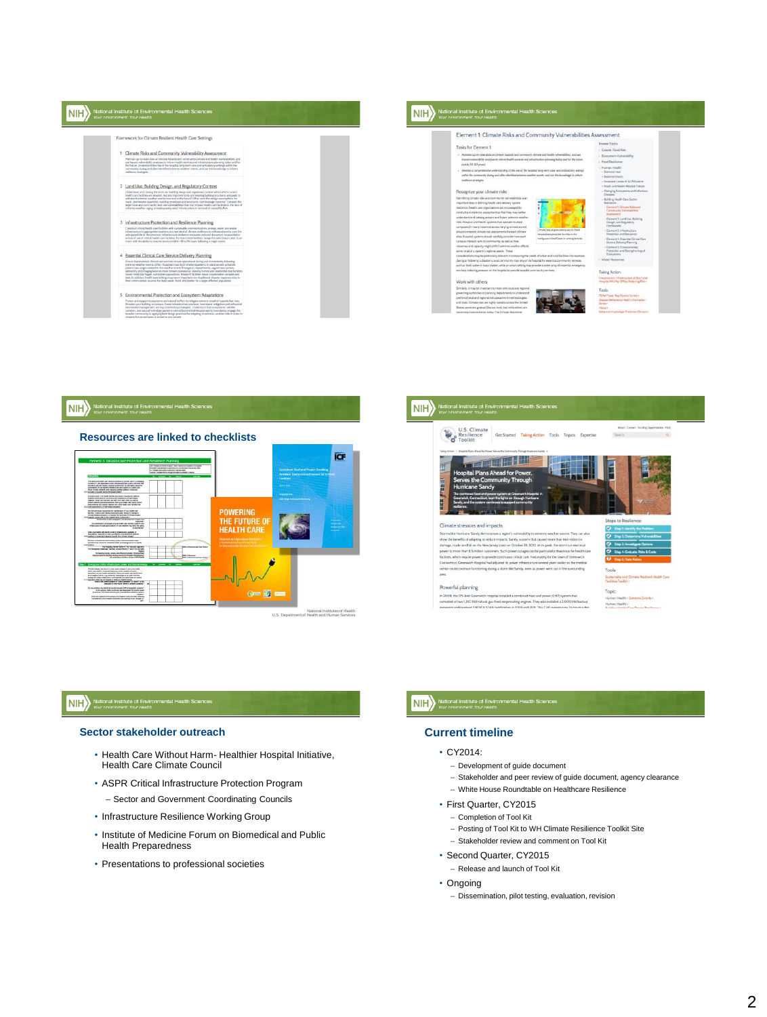| Your Environment, Your Health.                                                                                                                                                                                                                                                                                                                                                                                                                                                                                                                                                                                                                                                        | Your Environment, Your Health.                                                                                                                                                                                                                                                                                                                                                                                                                                                                                                                                                                                                                                                                                            |
|---------------------------------------------------------------------------------------------------------------------------------------------------------------------------------------------------------------------------------------------------------------------------------------------------------------------------------------------------------------------------------------------------------------------------------------------------------------------------------------------------------------------------------------------------------------------------------------------------------------------------------------------------------------------------------------|---------------------------------------------------------------------------------------------------------------------------------------------------------------------------------------------------------------------------------------------------------------------------------------------------------------------------------------------------------------------------------------------------------------------------------------------------------------------------------------------------------------------------------------------------------------------------------------------------------------------------------------------------------------------------------------------------------------------------|
| Framework for Climate Resilient Health Care Settings                                                                                                                                                                                                                                                                                                                                                                                                                                                                                                                                                                                                                                  | Element 1: Climate Risks and Community Vulnerabilities Assessment                                                                                                                                                                                                                                                                                                                                                                                                                                                                                                                                                                                                                                                         |
| Climate Risks and Community Vulnerability Assessment<br>Maritain up-to-date data on dimate bazants and correnantly climate and health vulnerabilities, and<br>use hazard vulnerability analyses to inform health services and inhesting targeting today and for<br>the future. Understand the role of the hospital, long term care and ambulatory settings within the<br>community during and after identified extreme weather events, and use this linead edge to inform<br>realizerce strategies                                                                                                                                                                                    | Browse Topics<br>Taylor for Element 1:<br>Coastal Flood Risk<br>. Maximain up-its-date data on climate heaterds and community climate and health vulnerabilities, and use<br>. Econystem Vulnerability<br>hazerd valverability analyses to inform health services and infrastructure planning today and for the future<br>+ Food Resilence<br>Jean to 20-50 percel<br>- Human Health<br>- Develop a comprehensive understanding of the role of the Asspital, long-term care, and ambulatory writings<br>- Extreme Heat<br>within the community gluring and after identified extreme weather events, and use this investinge to inform<br>- Extreme Events<br>resilience conseques.                                        |
| 2 Land Use, Building Design, and Regulatory Context<br>Understand and catalog the land use, building design and regulatory context within which current<br>health care facilities are situated. Are site improvements and existing building situatures adequate to<br>withstand extreme weather events now and in the future? What were the design assumptions for<br>roads, sternwater guarities, ballding envelopes and structures, roof-dramage systems? Consider the<br>larger (coal and convenantly land use vulnerabilities that may impact health care facilities in the face of<br>extreme weather-aging or inadequately sized inhibits attare or removal of natural buffers. | - Increased Levela of Air Policiants<br>- Food- and Water-Related Threats<br>- Changing Ecosystems and Infectious<br>Recognize your climate risks<br>Diseased<br>Identifying climate raks and community vulnerabilities is an<br>Building Health Cate Sector<br>important step in defining health care delivery system<br>Resilience<br>- Eleviere 5 Circula: Role and<br>realizmos. Health care organizations are encouraged to<br>Connective Vulnesdal ties<br>conduct a climate risk assessment so that they may better<br>Assessment:                                                                                                                                                                                 |
| 3 Infrastructure Protection and Resilience Planning<br>Construct critical health care facilities with sustainable communications, energy, water and waste<br>infrastructure in appropriate locations to a standard of climate realismos to withstand events over the<br>arrisipated life of the structure, infrastructure realience measures reduced dangelon, incapacitation<br>or loss of use of critical health care facilities. For loss critical facilities design for sale closure prior to an<br>went with the shifty to must a services within 48 to 94 hours following a major event.                                                                                        | understand and catalog governt and future extreme weather<br>Element 2 Land Use, Building<br>risks. Hospital and health systems that operate multiple.<br>Design, and Regulatory<br>Frameworks<br>campuses (in many instances across varying climate zones)<br>CimateCorpus alves permis way to check<br>- Elevent & Infrastructure<br>should complete climate risk assessments for each of their<br><b>Pestection and Resilience</b><br>temperatures perioded for crisis in the<br>sites. Hospital tystems should carefully consider how each<br>contiguous United States in corring decades.<br>- Element 4: Essential Circical Care<br>campus interacts with its community, as well as how<br>Senice Delivery Planning |
| 4 Essential Clinical Care Service Delivery Planning<br>Ensure that essential clinical care services remain operational during and invruediately following<br>extreme weather events. Often: hospitals must both shelter inpatients in place as well as handle<br>patient care surges related to the weather event. Entergency departments, urgent care centers,<br>alteratory and intaging services must remain spendomal. Nursing homes and residential care facilities                                                                                                                                                                                                              | resources and capacity might shift if extreme weather affects.<br>- Element & Environmental<br>Protection and Strengthening of<br>some or all of a system's regional assets. These<br>Ecosystems<br>considerations may be particularly relevant in comparing the reeds of urban and ranal facilities-for example.<br>+ Water Resources<br>during or following a disaster a rural community may rely on its housital for exercital community services.<br>such as food, water or basic shelter, while an urban setting may provide a wider array of essential entergency<br>services, reducing pressure on the hospital to provide broader community services.<br>Taking Action:                                           |
| house medically fragile, vulnerable populations. Research facilities house investigated annules and<br>data, in addition, health cars settings may serve important non-inaditional diseater response roles in<br>their communities sources for clean water, food, and shelter for a larger affected oppulation.                                                                                                                                                                                                                                                                                                                                                                       | investment in Infrastructure at Sea-Level.<br>Work with others<br>Hospital WII Ray Off by Berketing Risk +                                                                                                                                                                                                                                                                                                                                                                                                                                                                                                                                                                                                                |
| 5 Environmental Protection and Ecosystem Adaptations<br>Protect and magazin economisms and natural buffers to mitigate extenses weigher hazards that may<br>threaten your building or campus. Green infrastructure practices, heat island enteaston and enhanced<br>stormvaker management ani key mettibutory strategies. Understand that ecosystems, wildlife<br>contition, and natural hydrology patterns extend beyond individual property boundaries, engage the<br>. Isrcader community in applying best design practices for adapting to extreme weather risks in prefer to                                                                                                     | Smilarly, it may be important to meet with local and regional<br>Tools:<br>governing authorities or planning departments to understand<br>FEMA Flood Map Service Center +<br>preferred local and regional risk assessment methodologies<br>Disaster Behavioral Health Information<br>and tools. Climate risks are highly variable across the United<br>Series ><br>States some are enabled files sea level risel while others are<br>Hann's<br>Advanced Hyderingic Prediction Service -<br>becoming more extreme today. The Circuite Bestience                                                                                                                                                                            |



National Institutes of Health U.S. Department of Health and Human Services



## **NIFE** National Institute of Environmental Health Sciences

## **Sector stakeholder outreach**

- Health Care Without Harm- Healthier Hospital Initiative, Health Care Climate Council
- ASPR Critical Infrastructure Protection Program – Sector and Government Coordinating Councils
- Infrastructure Resilience Working Group
- Institute of Medicine Forum on Biomedical and Public Health Preparedness
- Presentations to professional societies

## NII > National Institute of Environmental Health Sciences

## **Current timeline**

- CY2014:
	- Development of guide document
	- Stakeholder and peer review of guide document, agency clearance
	- White House Roundtable on Healthcare Resilience
- First Quarter, CY2015
- Completion of Tool Kit
- Posting of Tool Kit to WH Climate Resilience Toolkit Site
- Stakeholder review and comment on Tool Kit
- Second Quarter, CY2015
	- Release and launch of Tool Kit
- Ongoing
	- Dissemination, pilot testing, evaluation, revision